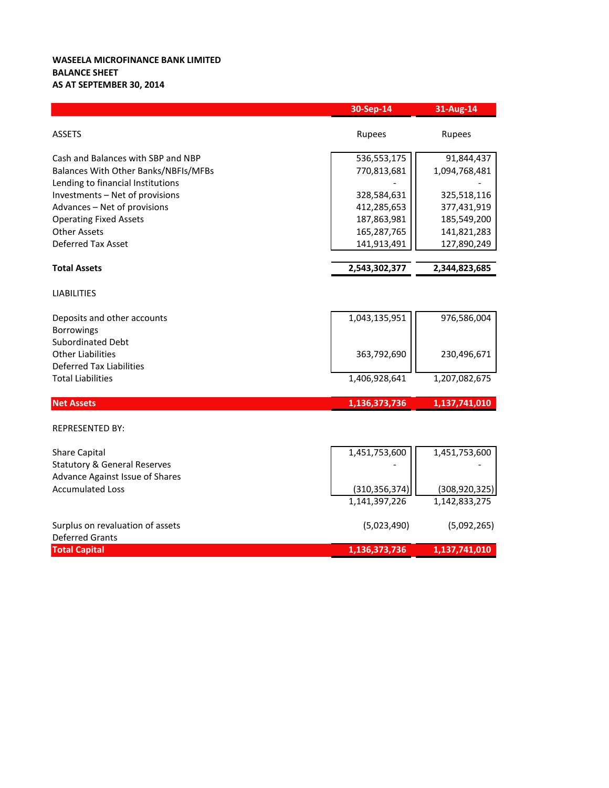## **WASEELA MICROFINANCE BANK LIMITED BALANCE SHEET AS AT SEPTEMBER 30, 2014**

|                                         | 30-Sep-14       | 31-Aug-14       |
|-----------------------------------------|-----------------|-----------------|
| <b>ASSETS</b>                           | Rupees          | Rupees          |
| Cash and Balances with SBP and NBP      | 536,553,175     | 91,844,437      |
| Balances With Other Banks/NBFIs/MFBs    | 770,813,681     | 1,094,768,481   |
| Lending to financial Institutions       |                 |                 |
| Investments - Net of provisions         | 328,584,631     | 325,518,116     |
| Advances - Net of provisions            | 412,285,653     | 377,431,919     |
| <b>Operating Fixed Assets</b>           | 187,863,981     | 185,549,200     |
| <b>Other Assets</b>                     | 165,287,765     | 141,821,283     |
| <b>Deferred Tax Asset</b>               | 141,913,491     | 127,890,249     |
| <b>Total Assets</b>                     | 2,543,302,377   | 2,344,823,685   |
| <b>LIABILITIES</b>                      |                 |                 |
| Deposits and other accounts             | 1,043,135,951   | 976,586,004     |
| <b>Borrowings</b>                       |                 |                 |
| <b>Subordinated Debt</b>                |                 |                 |
| <b>Other Liabilities</b>                | 363,792,690     | 230,496,671     |
| <b>Deferred Tax Liabilities</b>         |                 |                 |
| <b>Total Liabilities</b>                | 1,406,928,641   | 1,207,082,675   |
| <b>Net Assets</b>                       | 1,136,373,736   | 1,137,741,010   |
| <b>REPRESENTED BY:</b>                  |                 |                 |
| <b>Share Capital</b>                    | 1,451,753,600   | 1,451,753,600   |
| <b>Statutory &amp; General Reserves</b> |                 |                 |
| Advance Against Issue of Shares         |                 |                 |
| <b>Accumulated Loss</b>                 | (310, 356, 374) | (308, 920, 325) |
|                                         | 1,141,397,226   | 1,142,833,275   |
| Surplus on revaluation of assets        | (5,023,490)     | (5,092,265)     |
| <b>Deferred Grants</b>                  |                 |                 |
| <b>Total Capital</b>                    | 1,136,373,736   | 1,137,741,010   |